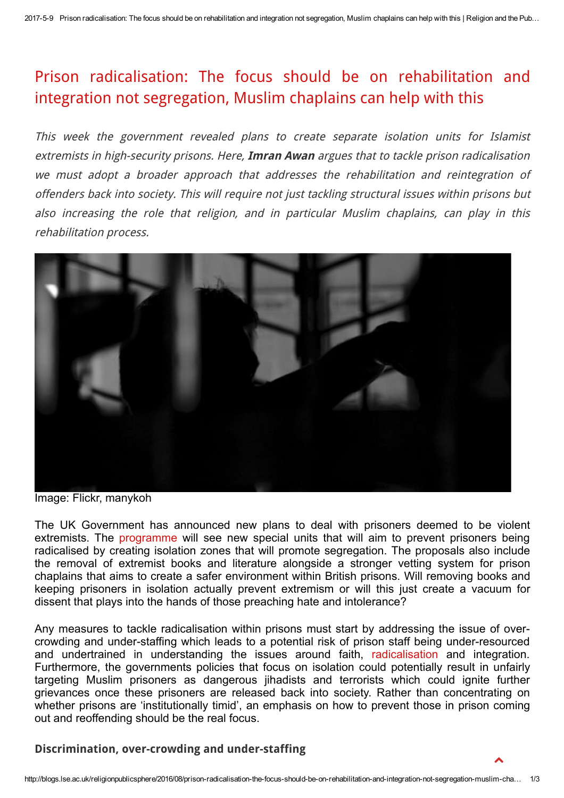## Prison [radicalisation:](http://blogs.lse.ac.uk/religionpublicsphere/2016/08/prison-radicalisation-the-focus-should-be-on-rehabilitation-and-integration-not-segregation-muslim-chaplains-can-help-with-this/) The focus should be on rehabilitation and integration not segregation, Muslim chaplains can help with this

This week the government revealed plans to create separate isolation units for Islamist extremists in high-security prisons. Here, Imran Awan argues that to tackle prison radicalisation we must adopt <sup>a</sup> broader approach that addresses the rehabilitation and reintegration of offenders back into society. This will require not just tackling structural issues within prisons but also increasing the role that religion, and in particular Muslim chaplains, can play in this rehabilitation process.



Image: Flickr, manykoh

The UK Government has announced new plans to deal with prisoners deemed to be violent extremists. The [programme](http://www.bbc.co.uk/news/uk-37151089) will see new special units that will aim to prevent prisoners being radicalised by creating isolation zones that will promote segregation. The proposals also include the removal of extremist books and literature alongside a stronger vetting system for prison chaplains that aims to create a safer environment within British prisons. Will removing books and keeping prisoners in isolation actually prevent extremism or will this just create a vacuum for dissent that plays into the hands of those preaching hate and intolerance?

Any measures to tackle radicalisation within prisons must start by addressing the issue of overcrowding and under-staffing which leads to a potential risk of prison staff being under-resourced and undertrained in understanding the issues around faith, [radicalisation](http://www.tandfonline.com/doi/abs/10.1080/13602004.2013.853979) and integration. Furthermore, the governments policies that focus on isolation could potentially result in unfairly targeting Muslim prisoners as dangerous jihadists and terrorists which could ignite further grievances once these prisoners are released back into society. Rather than concentrating on whether prisons are 'institutionally timid', an emphasis on how to prevent those in prison coming out and reoffending should be the real focus.

## Discrimination, over-crowding and under-staffing

 $\blacktriangle$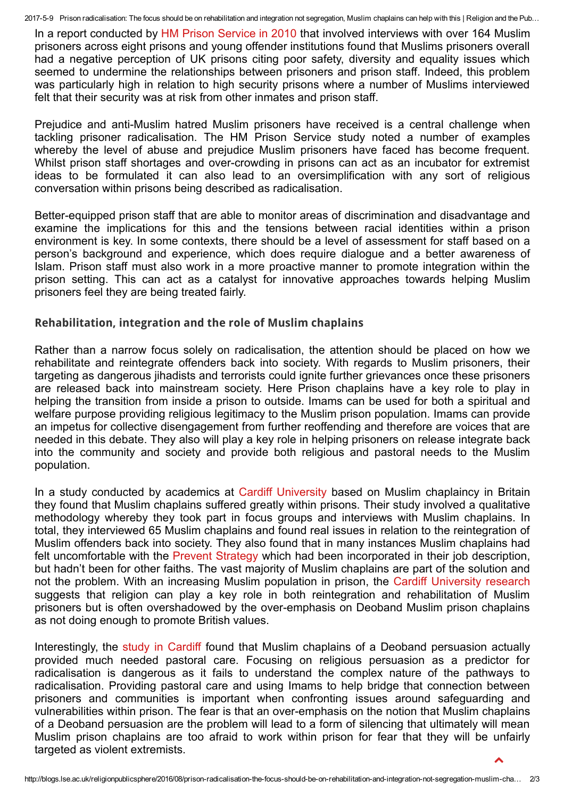2017-5-9 Prison radicalisation: The focus should be on rehabilitation and integration not segregation, Muslim chaplains can help with this | Religion and the Pub...

In a report conducted by HM Prison [Service](http://www.ohrn.nhs.uk/resource/policy/MuslimPrisonersThematic.pdf) in 2010 that involved interviews with over 164 Muslim prisoners across eight prisons and young offender institutions found that Muslims prisoners overall had a negative perception of UK prisons citing poor safety, diversity and equality issues which seemed to undermine the relationships between prisoners and prison staff. Indeed, this problem was particularly high in relation to high security prisons where a number of Muslims interviewed felt that their security was at risk from other inmates and prison staff.

Prejudice and anti-Muslim hatred Muslim prisoners have received is a central challenge when tackling prisoner radicalisation. The HM Prison Service study noted a number of examples whereby the level of abuse and prejudice Muslim prisoners have faced has become frequent. Whilst prison staff shortages and over-crowding in prisons can act as an incubator for extremist ideas to be formulated it can also lead to an oversimplification with any sort of religious conversation within prisons being described as radicalisation.

Better-equipped prison staff that are able to monitor areas of discrimination and disadvantage and examine the implications for this and the tensions between racial identities within a prison environment is key. In some contexts, there should be a level of assessment for staff based on a person's background and experience, which does require dialogue and a better awareness of Islam. Prison staff must also work in a more proactive manner to promote integration within the prison setting. This can act as a catalyst for innovative approaches towards helping Muslim prisoners feel they are being treated fairly.

## Rehabilitation, integration and the role of Muslim chaplains

Rather than a narrow focus solely on radicalisation, the attention should be placed on how we rehabilitate and reintegrate offenders back into society. With regards to Muslim prisoners, their targeting as dangerous jihadists and terrorists could ignite further grievances once these prisoners are released back into mainstream society. Here Prison chaplains have a key role to play in helping the transition from inside a prison to outside. Imams can be used for both a spiritual and welfare purpose providing religious legitimacy to the Muslim prison population. Imams can provide an impetus for collective disengagement from further reoffending and therefore are voices that are needed in this debate. They also will play a key role in helping prisoners on release integrate back into the community and society and provide both religious and pastoral needs to the Muslim population.

In a study conducted by academics at Cardiff [University](http://www.publicspirit.org.uk/muslim-chaplains-in-british-public-life/) based on Muslim chaplaincy in Britain they found that Muslim chaplains suffered greatly within prisons. Their study involved a qualitative methodology whereby they took part in focus groups and interviews with Muslim chaplains. In total, they interviewed 65 Muslim chaplains and found real issues in relation to the reintegration of Muslim offenders back into society. They also found that in many instances Muslim chaplains had felt uncomfortable with the Prevent [Strategy](https://www.gov.uk/government/uploads/system/uploads/attachment_data/file/97976/prevent-strategy-review.pdf) which had been incorporated in their job description, but hadn't been for other faiths. The vast majority of Muslim chaplains are part of the solution and not the problem. With an increasing Muslim population in prison, the Cardiff [University](http://www.publicspirit.org.uk/muslim-chaplains-in-british-public-life/) research suggests that religion can play a key role in both reintegration and rehabilitation of Muslim prisoners but is often overshadowed by the overemphasis on Deoband Muslim prison chaplains as not doing enough to promote British values.

Interestingly, the study in [Cardiff](http://research%20suggests%20that%20religion%20can%20play%20a%20key%20role%20in%20both%20reintegration%20and%20rehabilitation%20of%20muslim%20prisoners.%20h/) found that Muslim chaplains of a Deoband persuasion actually provided much needed pastoral care. Focusing on religious persuasion as a predictor for radicalisation is dangerous as it fails to understand the complex nature of the pathways to radicalisation. Providing pastoral care and using Imams to help bridge that connection between prisoners and communities is important when confronting issues around safeguarding and vulnerabilities within prison. The fear is that an overemphasis on the notion that Muslim chaplains of a Deoband persuasion are the problem will lead to a form of silencing that ultimately will mean Muslim prison chaplains are too afraid to work within prison for fear that they will be unfairly targeted as violent extremists.  $\blacktriangle$